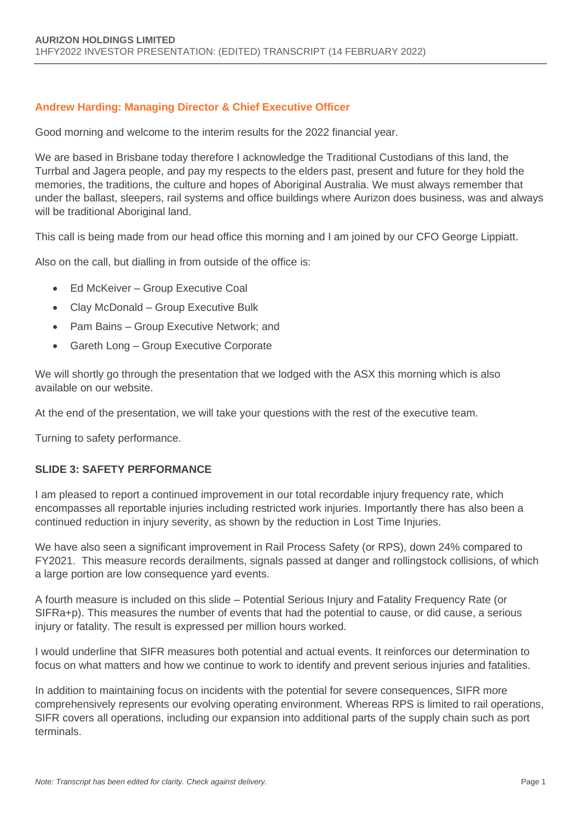#### **Andrew Harding: Managing Director & Chief Executive Officer**

Good morning and welcome to the interim results for the 2022 financial year.

We are based in Brisbane today therefore I acknowledge the Traditional Custodians of this land, the Turrbal and Jagera people, and pay my respects to the elders past, present and future for they hold the memories, the traditions, the culture and hopes of Aboriginal Australia. We must always remember that under the ballast, sleepers, rail systems and office buildings where Aurizon does business, was and always will be traditional Aboriginal land.

This call is being made from our head office this morning and I am joined by our CFO George Lippiatt.

Also on the call, but dialling in from outside of the office is:

- Ed McKeiver Group Executive Coal
- Clay McDonald Group Executive Bulk
- Pam Bains Group Executive Network; and
- Gareth Long Group Executive Corporate

We will shortly go through the presentation that we lodged with the ASX this morning which is also available on our website.

At the end of the presentation, we will take your questions with the rest of the executive team.

Turning to safety performance.

#### **SLIDE 3: SAFETY PERFORMANCE**

I am pleased to report a continued improvement in our total recordable injury frequency rate, which encompasses all reportable injuries including restricted work injuries. Importantly there has also been a continued reduction in injury severity, as shown by the reduction in Lost Time Injuries.

We have also seen a significant improvement in Rail Process Safety (or RPS), down 24% compared to FY2021. This measure records derailments, signals passed at danger and rollingstock collisions, of which a large portion are low consequence yard events.

A fourth measure is included on this slide – Potential Serious Injury and Fatality Frequency Rate (or SIFRa+p). This measures the number of events that had the potential to cause, or did cause, a serious injury or fatality. The result is expressed per million hours worked.

I would underline that SIFR measures both potential and actual events. It reinforces our determination to focus on what matters and how we continue to work to identify and prevent serious injuries and fatalities.

In addition to maintaining focus on incidents with the potential for severe consequences, SIFR more comprehensively represents our evolving operating environment. Whereas RPS is limited to rail operations, SIFR covers all operations, including our expansion into additional parts of the supply chain such as port terminals.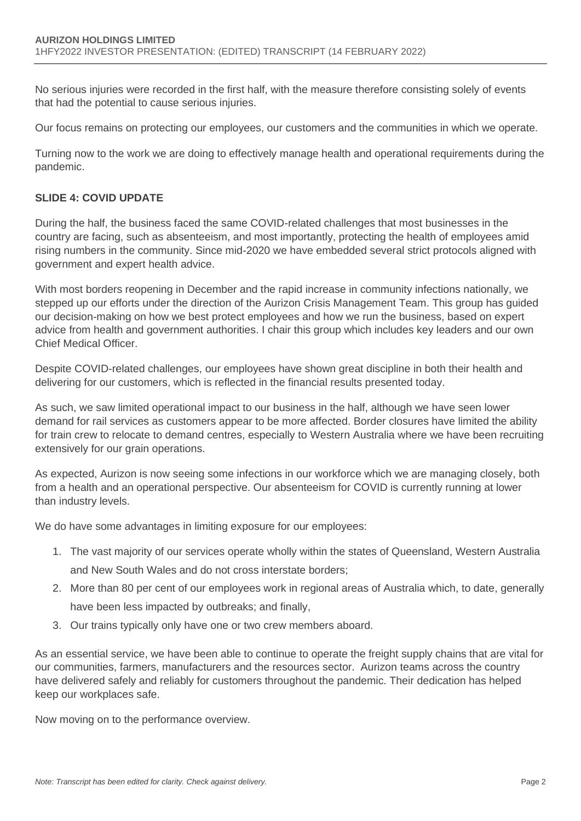No serious injuries were recorded in the first half, with the measure therefore consisting solely of events that had the potential to cause serious injuries.

Our focus remains on protecting our employees, our customers and the communities in which we operate.

Turning now to the work we are doing to effectively manage health and operational requirements during the pandemic.

# **SLIDE 4: COVID UPDATE**

During the half, the business faced the same COVID-related challenges that most businesses in the country are facing, such as absenteeism, and most importantly, protecting the health of employees amid rising numbers in the community. Since mid-2020 we have embedded several strict protocols aligned with government and expert health advice.

With most borders reopening in December and the rapid increase in community infections nationally, we stepped up our efforts under the direction of the Aurizon Crisis Management Team. This group has guided our decision-making on how we best protect employees and how we run the business, based on expert advice from health and government authorities. I chair this group which includes key leaders and our own Chief Medical Officer.

Despite COVID-related challenges, our employees have shown great discipline in both their health and delivering for our customers, which is reflected in the financial results presented today.

As such, we saw limited operational impact to our business in the half, although we have seen lower demand for rail services as customers appear to be more affected. Border closures have limited the ability for train crew to relocate to demand centres, especially to Western Australia where we have been recruiting extensively for our grain operations.

As expected, Aurizon is now seeing some infections in our workforce which we are managing closely, both from a health and an operational perspective. Our absenteeism for COVID is currently running at lower than industry levels.

We do have some advantages in limiting exposure for our employees:

- 1. The vast majority of our services operate wholly within the states of Queensland, Western Australia and New South Wales and do not cross interstate borders;
- 2. More than 80 per cent of our employees work in regional areas of Australia which, to date, generally have been less impacted by outbreaks; and finally,
- 3. Our trains typically only have one or two crew members aboard.

As an essential service, we have been able to continue to operate the freight supply chains that are vital for our communities, farmers, manufacturers and the resources sector. Aurizon teams across the country have delivered safely and reliably for customers throughout the pandemic. Their dedication has helped keep our workplaces safe.

Now moving on to the performance overview.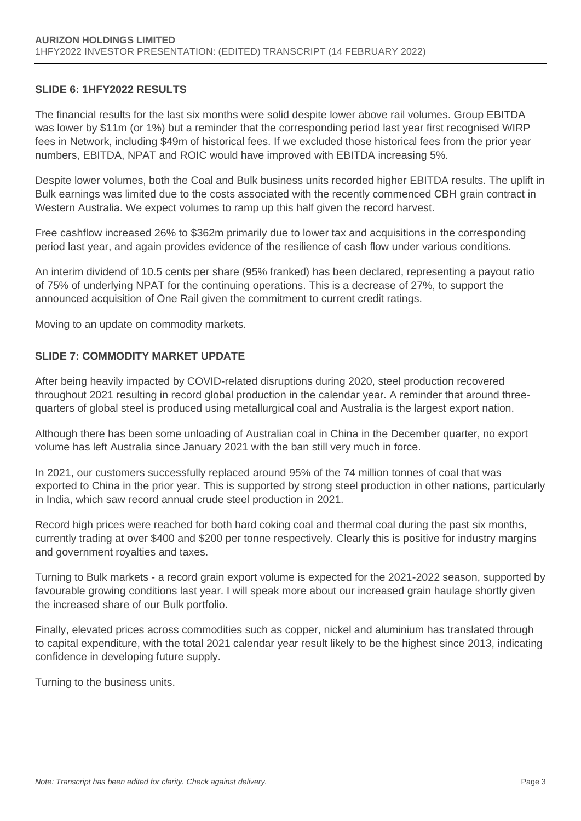#### **SLIDE 6: 1HFY2022 RESULTS**

The financial results for the last six months were solid despite lower above rail volumes. Group EBITDA was lower by \$11m (or 1%) but a reminder that the corresponding period last year first recognised WIRP fees in Network, including \$49m of historical fees. If we excluded those historical fees from the prior year numbers, EBITDA, NPAT and ROIC would have improved with EBITDA increasing 5%.

Despite lower volumes, both the Coal and Bulk business units recorded higher EBITDA results. The uplift in Bulk earnings was limited due to the costs associated with the recently commenced CBH grain contract in Western Australia. We expect volumes to ramp up this half given the record harvest.

Free cashflow increased 26% to \$362m primarily due to lower tax and acquisitions in the corresponding period last year, and again provides evidence of the resilience of cash flow under various conditions.

An interim dividend of 10.5 cents per share (95% franked) has been declared, representing a payout ratio of 75% of underlying NPAT for the continuing operations. This is a decrease of 27%, to support the announced acquisition of One Rail given the commitment to current credit ratings.

Moving to an update on commodity markets.

#### **SLIDE 7: COMMODITY MARKET UPDATE**

After being heavily impacted by COVID-related disruptions during 2020, steel production recovered throughout 2021 resulting in record global production in the calendar year. A reminder that around threequarters of global steel is produced using metallurgical coal and Australia is the largest export nation.

Although there has been some unloading of Australian coal in China in the December quarter, no export volume has left Australia since January 2021 with the ban still very much in force.

In 2021, our customers successfully replaced around 95% of the 74 million tonnes of coal that was exported to China in the prior year. This is supported by strong steel production in other nations, particularly in India, which saw record annual crude steel production in 2021.

Record high prices were reached for both hard coking coal and thermal coal during the past six months, currently trading at over \$400 and \$200 per tonne respectively. Clearly this is positive for industry margins and government royalties and taxes.

Turning to Bulk markets - a record grain export volume is expected for the 2021-2022 season, supported by favourable growing conditions last year. I will speak more about our increased grain haulage shortly given the increased share of our Bulk portfolio.

Finally, elevated prices across commodities such as copper, nickel and aluminium has translated through to capital expenditure, with the total 2021 calendar year result likely to be the highest since 2013, indicating confidence in developing future supply.

Turning to the business units.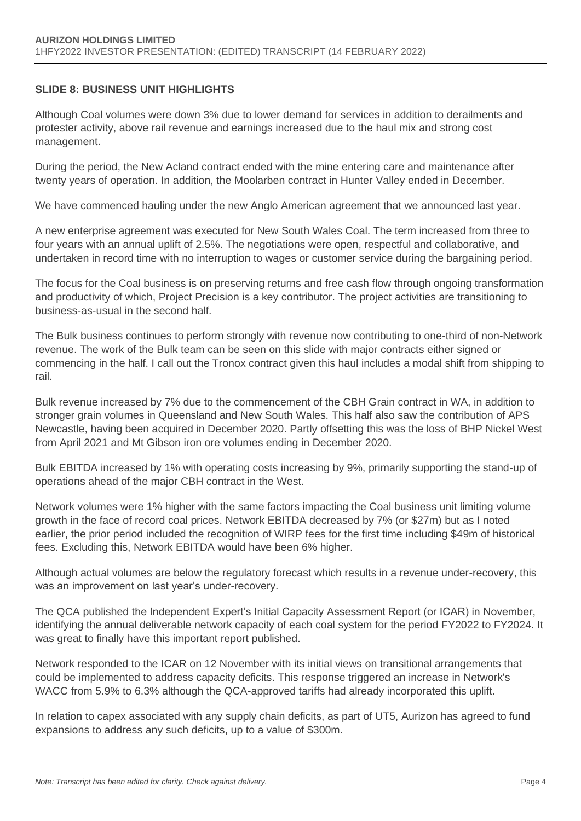## **SLIDE 8: BUSINESS UNIT HIGHLIGHTS**

Although Coal volumes were down 3% due to lower demand for services in addition to derailments and protester activity, above rail revenue and earnings increased due to the haul mix and strong cost management.

During the period, the New Acland contract ended with the mine entering care and maintenance after twenty years of operation. In addition, the Moolarben contract in Hunter Valley ended in December.

We have commenced hauling under the new Anglo American agreement that we announced last year.

A new enterprise agreement was executed for New South Wales Coal. The term increased from three to four years with an annual uplift of 2.5%. The negotiations were open, respectful and collaborative, and undertaken in record time with no interruption to wages or customer service during the bargaining period.

The focus for the Coal business is on preserving returns and free cash flow through ongoing transformation and productivity of which, Project Precision is a key contributor. The project activities are transitioning to business-as-usual in the second half.

The Bulk business continues to perform strongly with revenue now contributing to one-third of non-Network revenue. The work of the Bulk team can be seen on this slide with major contracts either signed or commencing in the half. I call out the Tronox contract given this haul includes a modal shift from shipping to rail.

Bulk revenue increased by 7% due to the commencement of the CBH Grain contract in WA, in addition to stronger grain volumes in Queensland and New South Wales. This half also saw the contribution of APS Newcastle, having been acquired in December 2020. Partly offsetting this was the loss of BHP Nickel West from April 2021 and Mt Gibson iron ore volumes ending in December 2020.

Bulk EBITDA increased by 1% with operating costs increasing by 9%, primarily supporting the stand-up of operations ahead of the major CBH contract in the West.

Network volumes were 1% higher with the same factors impacting the Coal business unit limiting volume growth in the face of record coal prices. Network EBITDA decreased by 7% (or \$27m) but as I noted earlier, the prior period included the recognition of WIRP fees for the first time including \$49m of historical fees. Excluding this, Network EBITDA would have been 6% higher.

Although actual volumes are below the regulatory forecast which results in a revenue under-recovery, this was an improvement on last year's under-recovery.

The QCA published the Independent Expert's Initial Capacity Assessment Report (or ICAR) in November, identifying the annual deliverable network capacity of each coal system for the period FY2022 to FY2024. It was great to finally have this important report published.

Network responded to the ICAR on 12 November with its initial views on transitional arrangements that could be implemented to address capacity deficits. This response triggered an increase in Network's WACC from 5.9% to 6.3% although the QCA-approved tariffs had already incorporated this uplift.

In relation to capex associated with any supply chain deficits, as part of UT5, Aurizon has agreed to fund expansions to address any such deficits, up to a value of \$300m.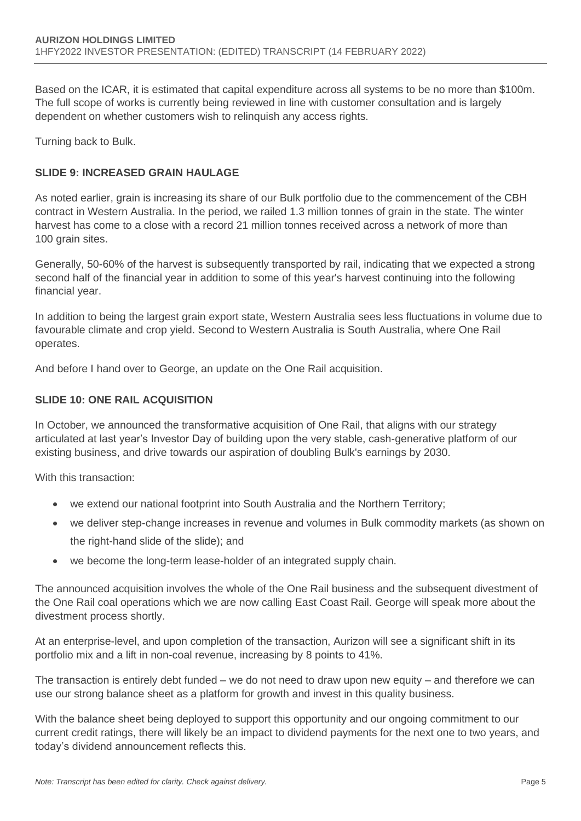Based on the ICAR, it is estimated that capital expenditure across all systems to be no more than \$100m. The full scope of works is currently being reviewed in line with customer consultation and is largely dependent on whether customers wish to relinquish any access rights.

Turning back to Bulk.

## **SLIDE 9: INCREASED GRAIN HAULAGE**

As noted earlier, grain is increasing its share of our Bulk portfolio due to the commencement of the CBH contract in Western Australia. In the period, we railed 1.3 million tonnes of grain in the state. The winter harvest has come to a close with a record 21 million tonnes received across a network of more than 100 grain sites.

Generally, 50-60% of the harvest is subsequently transported by rail, indicating that we expected a strong second half of the financial year in addition to some of this year's harvest continuing into the following financial year.

In addition to being the largest grain export state, Western Australia sees less fluctuations in volume due to favourable climate and crop yield. Second to Western Australia is South Australia, where One Rail operates.

And before I hand over to George, an update on the One Rail acquisition.

#### **SLIDE 10: ONE RAIL ACQUISITION**

In October, we announced the transformative acquisition of One Rail, that aligns with our strategy articulated at last year's Investor Day of building upon the very stable, cash-generative platform of our existing business, and drive towards our aspiration of doubling Bulk's earnings by 2030.

With this transaction:

- we extend our national footprint into South Australia and the Northern Territory;
- we deliver step-change increases in revenue and volumes in Bulk commodity markets (as shown on the right-hand slide of the slide); and
- we become the long-term lease-holder of an integrated supply chain.

The announced acquisition involves the whole of the One Rail business and the subsequent divestment of the One Rail coal operations which we are now calling East Coast Rail. George will speak more about the divestment process shortly.

At an enterprise-level, and upon completion of the transaction, Aurizon will see a significant shift in its portfolio mix and a lift in non-coal revenue, increasing by 8 points to 41%.

The transaction is entirely debt funded – we do not need to draw upon new equity – and therefore we can use our strong balance sheet as a platform for growth and invest in this quality business.

With the balance sheet being deployed to support this opportunity and our ongoing commitment to our current credit ratings, there will likely be an impact to dividend payments for the next one to two years, and today's dividend announcement reflects this.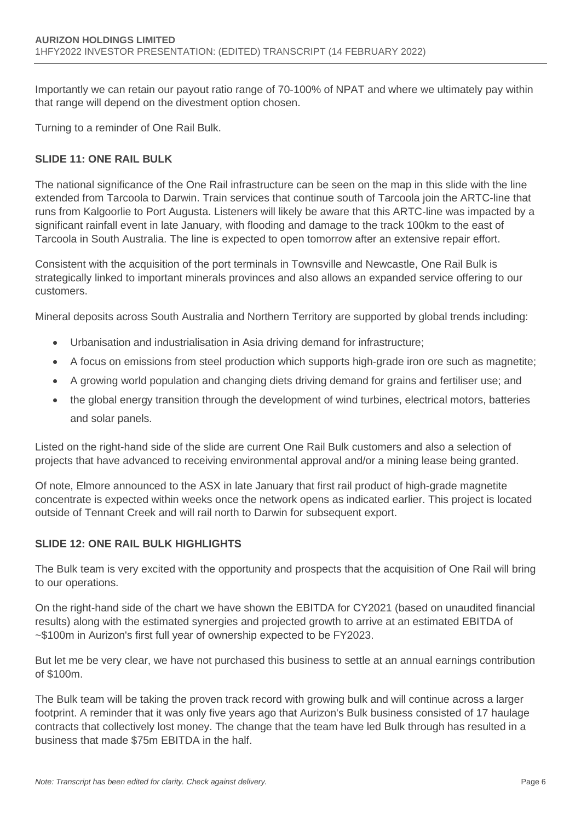Importantly we can retain our payout ratio range of 70-100% of NPAT and where we ultimately pay within that range will depend on the divestment option chosen.

Turning to a reminder of One Rail Bulk.

#### **SLIDE 11: ONE RAIL BULK**

The national significance of the One Rail infrastructure can be seen on the map in this slide with the line extended from Tarcoola to Darwin. Train services that continue south of Tarcoola join the ARTC-line that runs from Kalgoorlie to Port Augusta. Listeners will likely be aware that this ARTC-line was impacted by a significant rainfall event in late January, with flooding and damage to the track 100km to the east of Tarcoola in South Australia. The line is expected to open tomorrow after an extensive repair effort.

Consistent with the acquisition of the port terminals in Townsville and Newcastle, One Rail Bulk is strategically linked to important minerals provinces and also allows an expanded service offering to our customers.

Mineral deposits across South Australia and Northern Territory are supported by global trends including:

- Urbanisation and industrialisation in Asia driving demand for infrastructure;
- A focus on emissions from steel production which supports high-grade iron ore such as magnetite;
- A growing world population and changing diets driving demand for grains and fertiliser use; and
- the global energy transition through the development of wind turbines, electrical motors, batteries and solar panels.

Listed on the right-hand side of the slide are current One Rail Bulk customers and also a selection of projects that have advanced to receiving environmental approval and/or a mining lease being granted.

Of note, Elmore announced to the ASX in late January that first rail product of high-grade magnetite concentrate is expected within weeks once the network opens as indicated earlier. This project is located outside of Tennant Creek and will rail north to Darwin for subsequent export.

## **SLIDE 12: ONE RAIL BULK HIGHLIGHTS**

The Bulk team is very excited with the opportunity and prospects that the acquisition of One Rail will bring to our operations.

On the right-hand side of the chart we have shown the EBITDA for CY2021 (based on unaudited financial results) along with the estimated synergies and projected growth to arrive at an estimated EBITDA of ~\$100m in Aurizon's first full year of ownership expected to be FY2023.

But let me be very clear, we have not purchased this business to settle at an annual earnings contribution of \$100m.

The Bulk team will be taking the proven track record with growing bulk and will continue across a larger footprint. A reminder that it was only five years ago that Aurizon's Bulk business consisted of 17 haulage contracts that collectively lost money. The change that the team have led Bulk through has resulted in a business that made \$75m EBITDA in the half.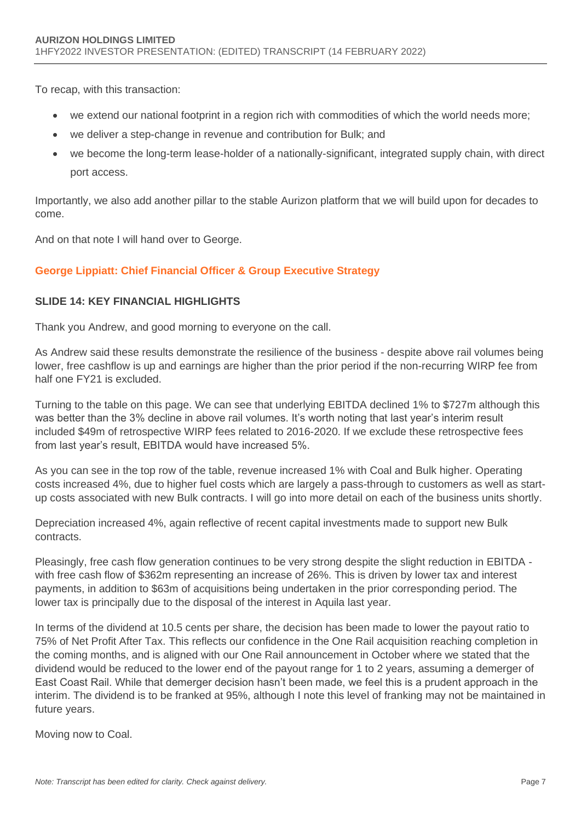To recap, with this transaction:

- we extend our national footprint in a region rich with commodities of which the world needs more;
- we deliver a step-change in revenue and contribution for Bulk; and
- we become the long-term lease-holder of a nationally-significant, integrated supply chain, with direct port access.

Importantly, we also add another pillar to the stable Aurizon platform that we will build upon for decades to come.

And on that note I will hand over to George.

## **George Lippiatt: Chief Financial Officer & Group Executive Strategy**

## **SLIDE 14: KEY FINANCIAL HIGHLIGHTS**

Thank you Andrew, and good morning to everyone on the call.

As Andrew said these results demonstrate the resilience of the business - despite above rail volumes being lower, free cashflow is up and earnings are higher than the prior period if the non-recurring WIRP fee from half one FY21 is excluded.

Turning to the table on this page. We can see that underlying EBITDA declined 1% to \$727m although this was better than the 3% decline in above rail volumes. It's worth noting that last year's interim result included \$49m of retrospective WIRP fees related to 2016-2020. If we exclude these retrospective fees from last year's result, EBITDA would have increased 5%.

As you can see in the top row of the table, revenue increased 1% with Coal and Bulk higher. Operating costs increased 4%, due to higher fuel costs which are largely a pass-through to customers as well as startup costs associated with new Bulk contracts. I will go into more detail on each of the business units shortly.

Depreciation increased 4%, again reflective of recent capital investments made to support new Bulk contracts.

Pleasingly, free cash flow generation continues to be very strong despite the slight reduction in EBITDA with free cash flow of \$362m representing an increase of 26%. This is driven by lower tax and interest payments, in addition to \$63m of acquisitions being undertaken in the prior corresponding period. The lower tax is principally due to the disposal of the interest in Aquila last year.

In terms of the dividend at 10.5 cents per share, the decision has been made to lower the payout ratio to 75% of Net Profit After Tax. This reflects our confidence in the One Rail acquisition reaching completion in the coming months, and is aligned with our One Rail announcement in October where we stated that the dividend would be reduced to the lower end of the payout range for 1 to 2 years, assuming a demerger of East Coast Rail. While that demerger decision hasn't been made, we feel this is a prudent approach in the interim. The dividend is to be franked at 95%, although I note this level of franking may not be maintained in future years.

Moving now to Coal.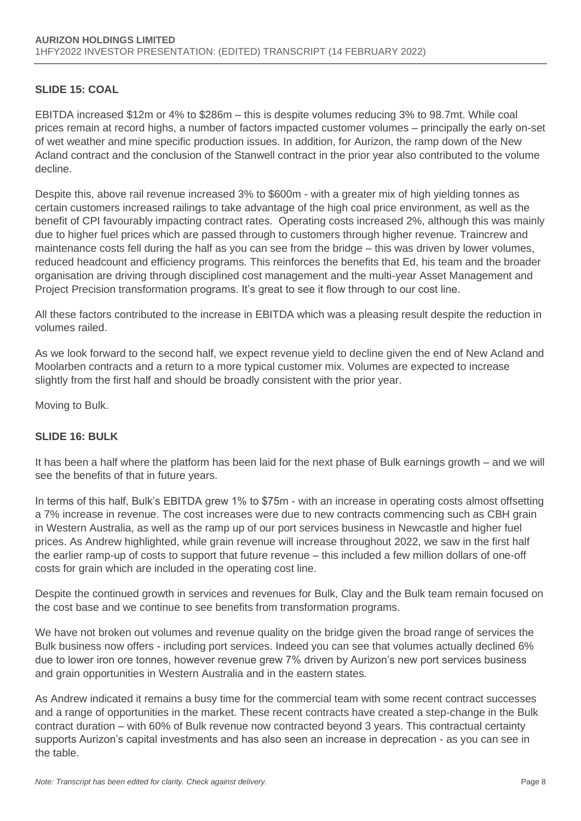## **SLIDE 15: COAL**

EBITDA increased \$12m or 4% to \$286m – this is despite volumes reducing 3% to 98.7mt. While coal prices remain at record highs, a number of factors impacted customer volumes – principally the early on-set of wet weather and mine specific production issues. In addition, for Aurizon, the ramp down of the New Acland contract and the conclusion of the Stanwell contract in the prior year also contributed to the volume decline.

Despite this, above rail revenue increased 3% to \$600m - with a greater mix of high yielding tonnes as certain customers increased railings to take advantage of the high coal price environment, as well as the benefit of CPI favourably impacting contract rates. Operating costs increased 2%, although this was mainly due to higher fuel prices which are passed through to customers through higher revenue. Traincrew and maintenance costs fell during the half as you can see from the bridge – this was driven by lower volumes, reduced headcount and efficiency programs. This reinforces the benefits that Ed, his team and the broader organisation are driving through disciplined cost management and the multi-year Asset Management and Project Precision transformation programs. It's great to see it flow through to our cost line.

All these factors contributed to the increase in EBITDA which was a pleasing result despite the reduction in volumes railed.

As we look forward to the second half, we expect revenue yield to decline given the end of New Acland and Moolarben contracts and a return to a more typical customer mix. Volumes are expected to increase slightly from the first half and should be broadly consistent with the prior year.

Moving to Bulk.

## **SLIDE 16: BULK**

It has been a half where the platform has been laid for the next phase of Bulk earnings growth – and we will see the benefits of that in future years.

In terms of this half, Bulk's EBITDA grew 1% to \$75m - with an increase in operating costs almost offsetting a 7% increase in revenue. The cost increases were due to new contracts commencing such as CBH grain in Western Australia, as well as the ramp up of our port services business in Newcastle and higher fuel prices. As Andrew highlighted, while grain revenue will increase throughout 2022, we saw in the first half the earlier ramp-up of costs to support that future revenue – this included a few million dollars of one-off costs for grain which are included in the operating cost line.

Despite the continued growth in services and revenues for Bulk, Clay and the Bulk team remain focused on the cost base and we continue to see benefits from transformation programs.

We have not broken out volumes and revenue quality on the bridge given the broad range of services the Bulk business now offers - including port services. Indeed you can see that volumes actually declined 6% due to lower iron ore tonnes, however revenue grew 7% driven by Aurizon's new port services business and grain opportunities in Western Australia and in the eastern states.

As Andrew indicated it remains a busy time for the commercial team with some recent contract successes and a range of opportunities in the market. These recent contracts have created a step-change in the Bulk contract duration – with 60% of Bulk revenue now contracted beyond 3 years. This contractual certainty supports Aurizon's capital investments and has also seen an increase in deprecation - as you can see in the table.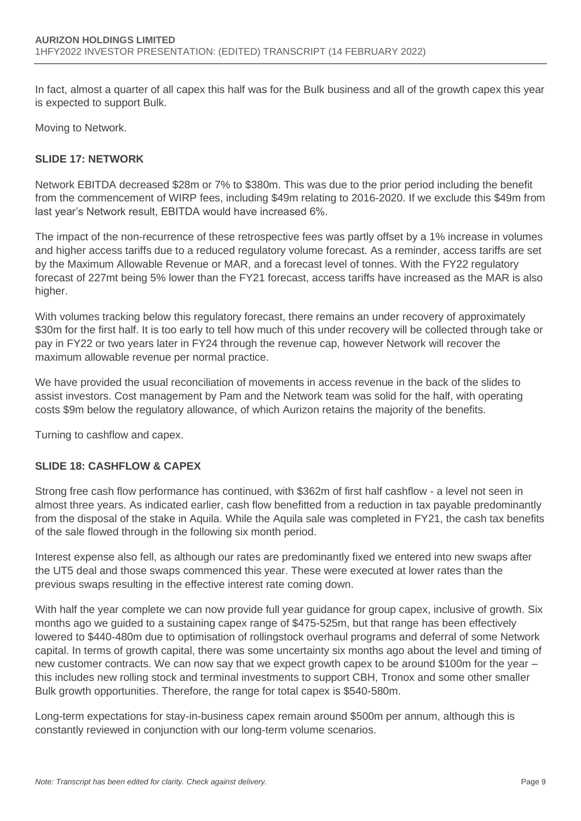In fact, almost a quarter of all capex this half was for the Bulk business and all of the growth capex this year is expected to support Bulk.

Moving to Network.

#### **SLIDE 17: NETWORK**

Network EBITDA decreased \$28m or 7% to \$380m. This was due to the prior period including the benefit from the commencement of WIRP fees, including \$49m relating to 2016-2020. If we exclude this \$49m from last year's Network result, EBITDA would have increased 6%.

The impact of the non-recurrence of these retrospective fees was partly offset by a 1% increase in volumes and higher access tariffs due to a reduced regulatory volume forecast. As a reminder, access tariffs are set by the Maximum Allowable Revenue or MAR, and a forecast level of tonnes. With the FY22 regulatory forecast of 227mt being 5% lower than the FY21 forecast, access tariffs have increased as the MAR is also higher.

With volumes tracking below this regulatory forecast, there remains an under recovery of approximately \$30m for the first half. It is too early to tell how much of this under recovery will be collected through take or pay in FY22 or two years later in FY24 through the revenue cap, however Network will recover the maximum allowable revenue per normal practice.

We have provided the usual reconciliation of movements in access revenue in the back of the slides to assist investors. Cost management by Pam and the Network team was solid for the half, with operating costs \$9m below the regulatory allowance, of which Aurizon retains the majority of the benefits.

Turning to cashflow and capex.

#### **SLIDE 18: CASHFLOW & CAPEX**

Strong free cash flow performance has continued, with \$362m of first half cashflow - a level not seen in almost three years. As indicated earlier, cash flow benefitted from a reduction in tax payable predominantly from the disposal of the stake in Aquila. While the Aquila sale was completed in FY21, the cash tax benefits of the sale flowed through in the following six month period.

Interest expense also fell, as although our rates are predominantly fixed we entered into new swaps after the UT5 deal and those swaps commenced this year. These were executed at lower rates than the previous swaps resulting in the effective interest rate coming down.

With half the year complete we can now provide full year guidance for group capex, inclusive of growth. Six months ago we guided to a sustaining capex range of \$475-525m, but that range has been effectively lowered to \$440-480m due to optimisation of rollingstock overhaul programs and deferral of some Network capital. In terms of growth capital, there was some uncertainty six months ago about the level and timing of new customer contracts. We can now say that we expect growth capex to be around \$100m for the year – this includes new rolling stock and terminal investments to support CBH, Tronox and some other smaller Bulk growth opportunities. Therefore, the range for total capex is \$540-580m.

Long-term expectations for stay-in-business capex remain around \$500m per annum, although this is constantly reviewed in conjunction with our long-term volume scenarios.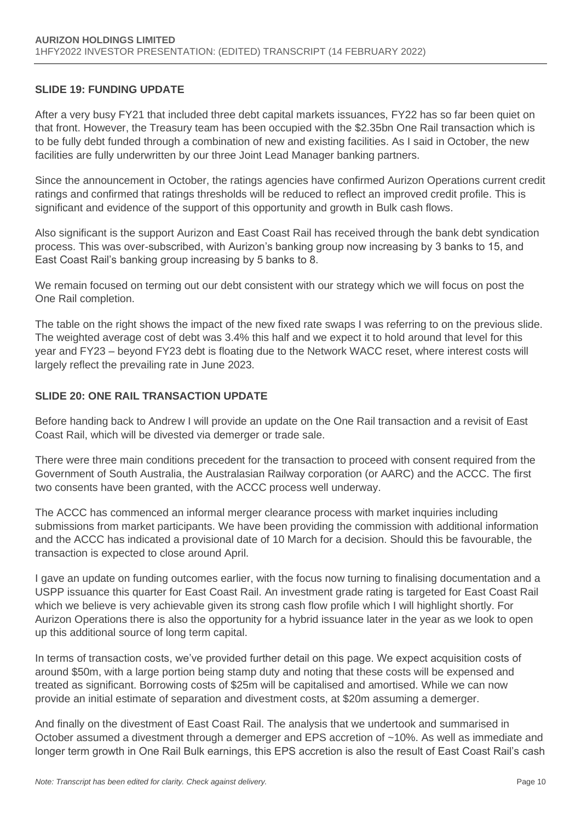#### **SLIDE 19: FUNDING UPDATE**

After a very busy FY21 that included three debt capital markets issuances, FY22 has so far been quiet on that front. However, the Treasury team has been occupied with the \$2.35bn One Rail transaction which is to be fully debt funded through a combination of new and existing facilities. As I said in October, the new facilities are fully underwritten by our three Joint Lead Manager banking partners.

Since the announcement in October, the ratings agencies have confirmed Aurizon Operations current credit ratings and confirmed that ratings thresholds will be reduced to reflect an improved credit profile. This is significant and evidence of the support of this opportunity and growth in Bulk cash flows.

Also significant is the support Aurizon and East Coast Rail has received through the bank debt syndication process. This was over-subscribed, with Aurizon's banking group now increasing by 3 banks to 15, and East Coast Rail's banking group increasing by 5 banks to 8.

We remain focused on terming out our debt consistent with our strategy which we will focus on post the One Rail completion.

The table on the right shows the impact of the new fixed rate swaps I was referring to on the previous slide. The weighted average cost of debt was 3.4% this half and we expect it to hold around that level for this year and FY23 – beyond FY23 debt is floating due to the Network WACC reset, where interest costs will largely reflect the prevailing rate in June 2023.

#### **SLIDE 20: ONE RAIL TRANSACTION UPDATE**

Before handing back to Andrew I will provide an update on the One Rail transaction and a revisit of East Coast Rail, which will be divested via demerger or trade sale.

There were three main conditions precedent for the transaction to proceed with consent required from the Government of South Australia, the Australasian Railway corporation (or AARC) and the ACCC. The first two consents have been granted, with the ACCC process well underway.

The ACCC has commenced an informal merger clearance process with market inquiries including submissions from market participants. We have been providing the commission with additional information and the ACCC has indicated a provisional date of 10 March for a decision. Should this be favourable, the transaction is expected to close around April.

I gave an update on funding outcomes earlier, with the focus now turning to finalising documentation and a USPP issuance this quarter for East Coast Rail. An investment grade rating is targeted for East Coast Rail which we believe is very achievable given its strong cash flow profile which I will highlight shortly. For Aurizon Operations there is also the opportunity for a hybrid issuance later in the year as we look to open up this additional source of long term capital.

In terms of transaction costs, we've provided further detail on this page. We expect acquisition costs of around \$50m, with a large portion being stamp duty and noting that these costs will be expensed and treated as significant. Borrowing costs of \$25m will be capitalised and amortised. While we can now provide an initial estimate of separation and divestment costs, at \$20m assuming a demerger.

And finally on the divestment of East Coast Rail. The analysis that we undertook and summarised in October assumed a divestment through a demerger and EPS accretion of ~10%. As well as immediate and longer term growth in One Rail Bulk earnings, this EPS accretion is also the result of East Coast Rail's cash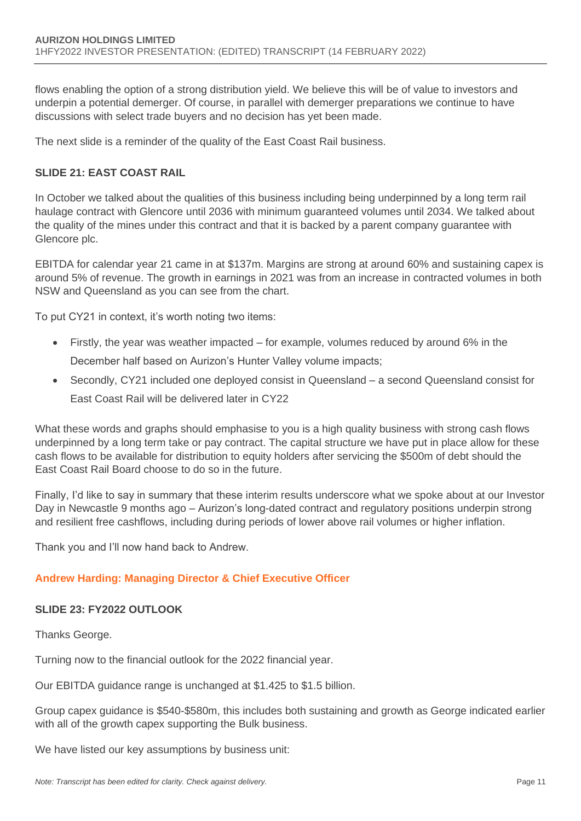flows enabling the option of a strong distribution yield. We believe this will be of value to investors and underpin a potential demerger. Of course, in parallel with demerger preparations we continue to have discussions with select trade buyers and no decision has yet been made.

The next slide is a reminder of the quality of the East Coast Rail business.

# **SLIDE 21: EAST COAST RAIL**

In October we talked about the qualities of this business including being underpinned by a long term rail haulage contract with Glencore until 2036 with minimum guaranteed volumes until 2034. We talked about the quality of the mines under this contract and that it is backed by a parent company guarantee with Glencore plc.

EBITDA for calendar year 21 came in at \$137m. Margins are strong at around 60% and sustaining capex is around 5% of revenue. The growth in earnings in 2021 was from an increase in contracted volumes in both NSW and Queensland as you can see from the chart.

To put CY21 in context, it's worth noting two items:

- Firstly, the year was weather impacted for example, volumes reduced by around 6% in the December half based on Aurizon's Hunter Valley volume impacts;
- Secondly, CY21 included one deployed consist in Queensland a second Queensland consist for East Coast Rail will be delivered later in CY22

What these words and graphs should emphasise to you is a high quality business with strong cash flows underpinned by a long term take or pay contract. The capital structure we have put in place allow for these cash flows to be available for distribution to equity holders after servicing the \$500m of debt should the East Coast Rail Board choose to do so in the future.

Finally, I'd like to say in summary that these interim results underscore what we spoke about at our Investor Day in Newcastle 9 months ago – Aurizon's long-dated contract and regulatory positions underpin strong and resilient free cashflows, including during periods of lower above rail volumes or higher inflation.

Thank you and I'll now hand back to Andrew.

## **Andrew Harding: Managing Director & Chief Executive Officer**

## **SLIDE 23: FY2022 OUTLOOK**

Thanks George.

Turning now to the financial outlook for the 2022 financial year.

Our EBITDA guidance range is unchanged at \$1.425 to \$1.5 billion.

Group capex guidance is \$540-\$580m, this includes both sustaining and growth as George indicated earlier with all of the growth capex supporting the Bulk business.

We have listed our key assumptions by business unit: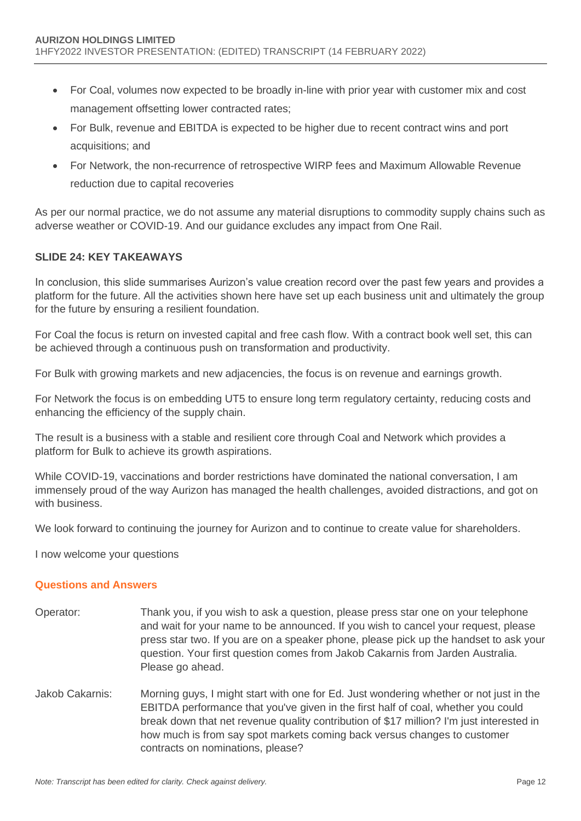- For Coal, volumes now expected to be broadly in-line with prior year with customer mix and cost management offsetting lower contracted rates;
- For Bulk, revenue and EBITDA is expected to be higher due to recent contract wins and port acquisitions; and
- For Network, the non-recurrence of retrospective WIRP fees and Maximum Allowable Revenue reduction due to capital recoveries

As per our normal practice, we do not assume any material disruptions to commodity supply chains such as adverse weather or COVID-19. And our guidance excludes any impact from One Rail.

## **SLIDE 24: KEY TAKEAWAYS**

In conclusion, this slide summarises Aurizon's value creation record over the past few years and provides a platform for the future. All the activities shown here have set up each business unit and ultimately the group for the future by ensuring a resilient foundation.

For Coal the focus is return on invested capital and free cash flow. With a contract book well set, this can be achieved through a continuous push on transformation and productivity.

For Bulk with growing markets and new adjacencies, the focus is on revenue and earnings growth.

For Network the focus is on embedding UT5 to ensure long term regulatory certainty, reducing costs and enhancing the efficiency of the supply chain.

The result is a business with a stable and resilient core through Coal and Network which provides a platform for Bulk to achieve its growth aspirations.

While COVID-19, vaccinations and border restrictions have dominated the national conversation, I am immensely proud of the way Aurizon has managed the health challenges, avoided distractions, and got on with business.

We look forward to continuing the journey for Aurizon and to continue to create value for shareholders.

I now welcome your questions

#### **Questions and Answers**

- Operator: Thank you, if you wish to ask a question, please press star one on your telephone and wait for your name to be announced. If you wish to cancel your request, please press star two. If you are on a speaker phone, please pick up the handset to ask your question. Your first question comes from Jakob Cakarnis from Jarden Australia. Please go ahead.
- Jakob Cakarnis: Morning guys, I might start with one for Ed. Just wondering whether or not just in the EBITDA performance that you've given in the first half of coal, whether you could break down that net revenue quality contribution of \$17 million? I'm just interested in how much is from say spot markets coming back versus changes to customer contracts on nominations, please?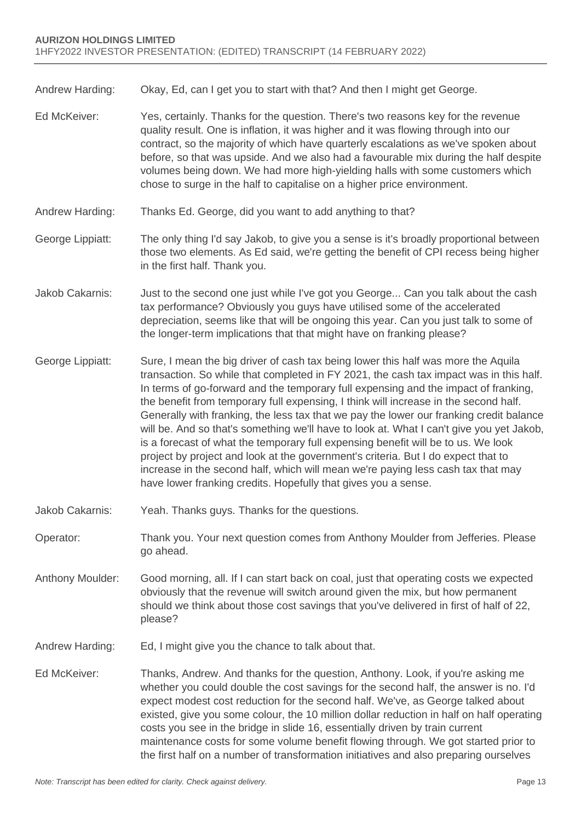Andrew Harding: Okay, Ed, can I get you to start with that? And then I might get George.

- Ed McKeiver: Yes, certainly. Thanks for the question. There's two reasons key for the revenue quality result. One is inflation, it was higher and it was flowing through into our contract, so the majority of which have quarterly escalations as we've spoken about before, so that was upside. And we also had a favourable mix during the half despite volumes being down. We had more high-yielding halls with some customers which chose to surge in the half to capitalise on a higher price environment.
- Andrew Harding: Thanks Ed. George, did you want to add anything to that?
- George Lippiatt: The only thing I'd say Jakob, to give you a sense is it's broadly proportional between those two elements. As Ed said, we're getting the benefit of CPI recess being higher in the first half. Thank you.
- Jakob Cakarnis: Just to the second one just while I've got you George... Can you talk about the cash tax performance? Obviously you guys have utilised some of the accelerated depreciation, seems like that will be ongoing this year. Can you just talk to some of the longer-term implications that that might have on franking please?
- George Lippiatt: Sure, I mean the big driver of cash tax being lower this half was more the Aquila transaction. So while that completed in FY 2021, the cash tax impact was in this half. In terms of go-forward and the temporary full expensing and the impact of franking, the benefit from temporary full expensing, I think will increase in the second half. Generally with franking, the less tax that we pay the lower our franking credit balance will be. And so that's something we'll have to look at. What I can't give you yet Jakob, is a forecast of what the temporary full expensing benefit will be to us. We look project by project and look at the government's criteria. But I do expect that to increase in the second half, which will mean we're paying less cash tax that may have lower franking credits. Hopefully that gives you a sense.
- Jakob Cakarnis: Yeah. Thanks guys. Thanks for the questions.
- Operator: Thank you. Your next question comes from Anthony Moulder from Jefferies. Please go ahead.
- Anthony Moulder: Good morning, all. If I can start back on coal, just that operating costs we expected obviously that the revenue will switch around given the mix, but how permanent should we think about those cost savings that you've delivered in first of half of 22, please?
- Andrew Harding: Ed, I might give you the chance to talk about that.
- Ed McKeiver: Thanks, Andrew. And thanks for the question, Anthony. Look, if you're asking me whether you could double the cost savings for the second half, the answer is no. I'd expect modest cost reduction for the second half. We've, as George talked about existed, give you some colour, the 10 million dollar reduction in half on half operating costs you see in the bridge in slide 16, essentially driven by train current maintenance costs for some volume benefit flowing through. We got started prior to the first half on a number of transformation initiatives and also preparing ourselves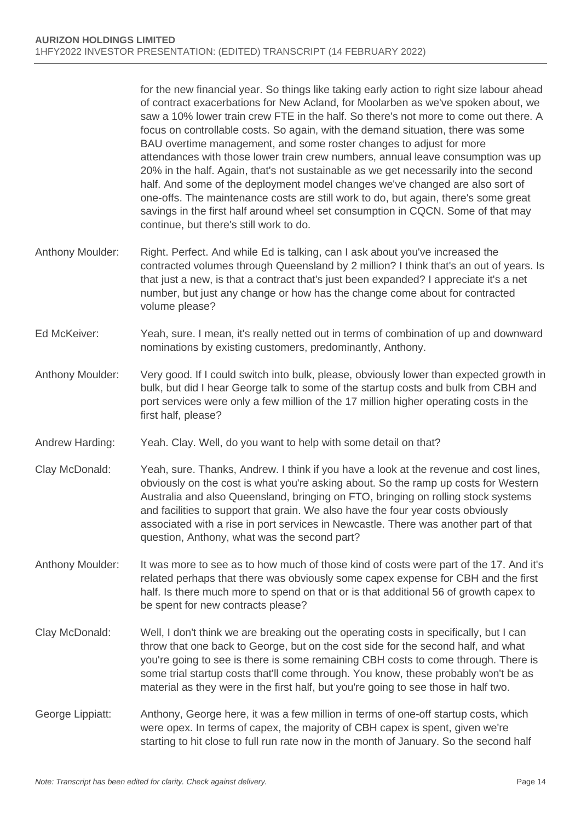for the new financial year. So things like taking early action to right size labour ahead of contract exacerbations for New Acland, for Moolarben as we've spoken about, we saw a 10% lower train crew FTE in the half. So there's not more to come out there. A focus on controllable costs. So again, with the demand situation, there was some BAU overtime management, and some roster changes to adjust for more attendances with those lower train crew numbers, annual leave consumption was up 20% in the half. Again, that's not sustainable as we get necessarily into the second half. And some of the deployment model changes we've changed are also sort of one-offs. The maintenance costs are still work to do, but again, there's some great savings in the first half around wheel set consumption in CQCN. Some of that may continue, but there's still work to do.

- Anthony Moulder: Right. Perfect. And while Ed is talking, can I ask about you've increased the contracted volumes through Queensland by 2 million? I think that's an out of years. Is that just a new, is that a contract that's just been expanded? I appreciate it's a net number, but just any change or how has the change come about for contracted volume please?
- Ed McKeiver: Yeah, sure. I mean, it's really netted out in terms of combination of up and downward nominations by existing customers, predominantly, Anthony.
- Anthony Moulder: Very good. If I could switch into bulk, please, obviously lower than expected growth in bulk, but did I hear George talk to some of the startup costs and bulk from CBH and port services were only a few million of the 17 million higher operating costs in the first half, please?
- Andrew Harding: Yeah. Clay. Well, do you want to help with some detail on that?
- Clay McDonald: Yeah, sure. Thanks, Andrew. I think if you have a look at the revenue and cost lines, obviously on the cost is what you're asking about. So the ramp up costs for Western Australia and also Queensland, bringing on FTO, bringing on rolling stock systems and facilities to support that grain. We also have the four year costs obviously associated with a rise in port services in Newcastle. There was another part of that question, Anthony, what was the second part?
- Anthony Moulder: It was more to see as to how much of those kind of costs were part of the 17. And it's related perhaps that there was obviously some capex expense for CBH and the first half. Is there much more to spend on that or is that additional 56 of growth capex to be spent for new contracts please?
- Clay McDonald: Well, I don't think we are breaking out the operating costs in specifically, but I can throw that one back to George, but on the cost side for the second half, and what you're going to see is there is some remaining CBH costs to come through. There is some trial startup costs that'll come through. You know, these probably won't be as material as they were in the first half, but you're going to see those in half two.
- George Lippiatt: Anthony, George here, it was a few million in terms of one-off startup costs, which were opex. In terms of capex, the majority of CBH capex is spent, given we're starting to hit close to full run rate now in the month of January. So the second half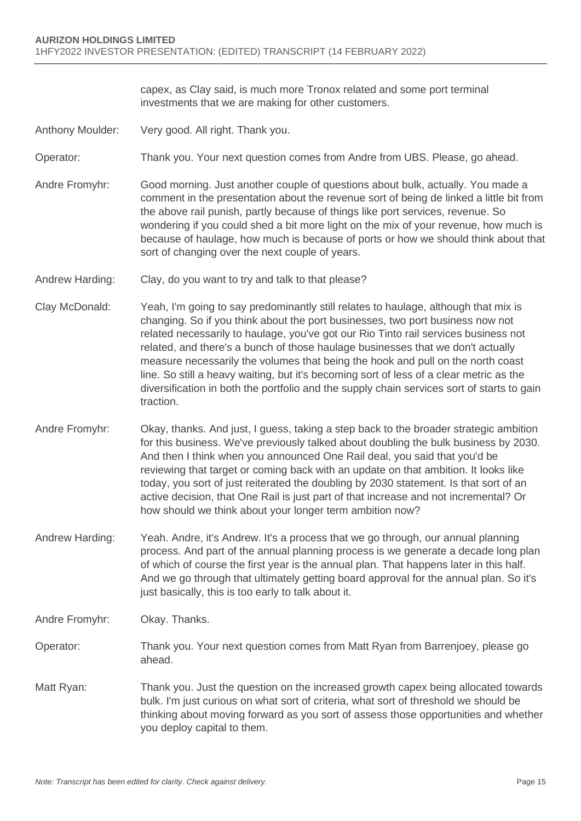capex, as Clay said, is much more Tronox related and some port terminal investments that we are making for other customers.

- Anthony Moulder: Very good. All right. Thank you.
- Operator: Thank you. Your next question comes from Andre from UBS. Please, go ahead.
- Andre Fromyhr: Good morning. Just another couple of questions about bulk, actually. You made a comment in the presentation about the revenue sort of being de linked a little bit from the above rail punish, partly because of things like port services, revenue. So wondering if you could shed a bit more light on the mix of your revenue, how much is because of haulage, how much is because of ports or how we should think about that sort of changing over the next couple of years.
- Andrew Harding: Clay, do you want to try and talk to that please?
- Clay McDonald: Yeah, I'm going to say predominantly still relates to haulage, although that mix is changing. So if you think about the port businesses, two port business now not related necessarily to haulage, you've got our Rio Tinto rail services business not related, and there's a bunch of those haulage businesses that we don't actually measure necessarily the volumes that being the hook and pull on the north coast line. So still a heavy waiting, but it's becoming sort of less of a clear metric as the diversification in both the portfolio and the supply chain services sort of starts to gain traction.
- Andre Fromyhr: Okay, thanks. And just, I guess, taking a step back to the broader strategic ambition for this business. We've previously talked about doubling the bulk business by 2030. And then I think when you announced One Rail deal, you said that you'd be reviewing that target or coming back with an update on that ambition. It looks like today, you sort of just reiterated the doubling by 2030 statement. Is that sort of an active decision, that One Rail is just part of that increase and not incremental? Or how should we think about your longer term ambition now?
- Andrew Harding: Yeah. Andre, it's Andrew. It's a process that we go through, our annual planning process. And part of the annual planning process is we generate a decade long plan of which of course the first year is the annual plan. That happens later in this half. And we go through that ultimately getting board approval for the annual plan. So it's just basically, this is too early to talk about it.
- Andre Fromyhr: Okay. Thanks.
- Operator: Thank you. Your next question comes from Matt Ryan from Barrenjoey, please go ahead.
- Matt Ryan: Thank you. Just the question on the increased growth capex being allocated towards bulk. I'm just curious on what sort of criteria, what sort of threshold we should be thinking about moving forward as you sort of assess those opportunities and whether you deploy capital to them.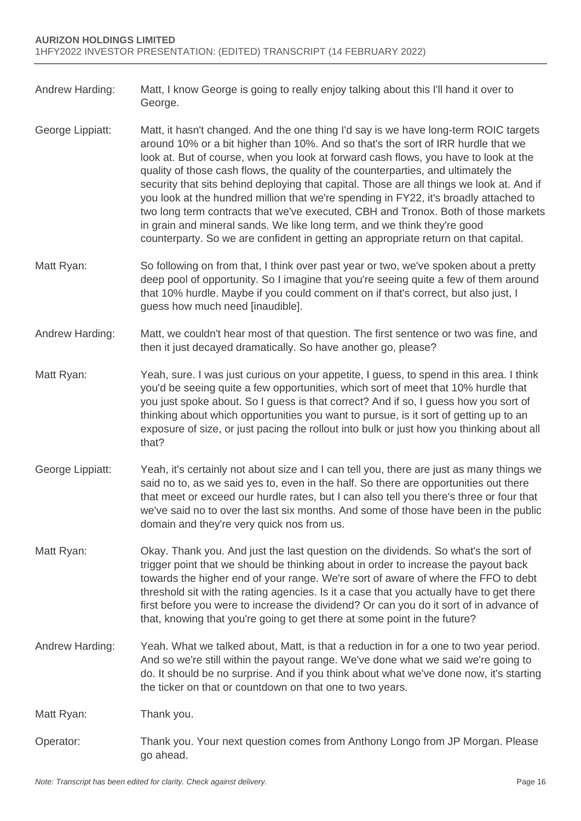- Andrew Harding: Matt, I know George is going to really enjoy talking about this I'll hand it over to George.
- George Lippiatt: Matt, it hasn't changed. And the one thing I'd say is we have long-term ROIC targets around 10% or a bit higher than 10%. And so that's the sort of IRR hurdle that we look at. But of course, when you look at forward cash flows, you have to look at the quality of those cash flows, the quality of the counterparties, and ultimately the security that sits behind deploying that capital. Those are all things we look at. And if you look at the hundred million that we're spending in FY22, it's broadly attached to two long term contracts that we've executed, CBH and Tronox. Both of those markets in grain and mineral sands. We like long term, and we think they're good counterparty. So we are confident in getting an appropriate return on that capital.
- Matt Ryan: So following on from that, I think over past year or two, we've spoken about a pretty deep pool of opportunity. So I imagine that you're seeing quite a few of them around that 10% hurdle. Maybe if you could comment on if that's correct, but also just, I guess how much need [inaudible].
- Andrew Harding: Matt, we couldn't hear most of that question. The first sentence or two was fine, and then it just decayed dramatically. So have another go, please?
- Matt Ryan: Yeah, sure. I was just curious on your appetite, I guess, to spend in this area. I think you'd be seeing quite a few opportunities, which sort of meet that 10% hurdle that you just spoke about. So I guess is that correct? And if so, I guess how you sort of thinking about which opportunities you want to pursue, is it sort of getting up to an exposure of size, or just pacing the rollout into bulk or just how you thinking about all that?
- George Lippiatt: Yeah, it's certainly not about size and I can tell you, there are just as many things we said no to, as we said yes to, even in the half. So there are opportunities out there that meet or exceed our hurdle rates, but I can also tell you there's three or four that we've said no to over the last six months. And some of those have been in the public domain and they're very quick nos from us.
- Matt Ryan: Okay. Thank you. And just the last question on the dividends. So what's the sort of trigger point that we should be thinking about in order to increase the payout back towards the higher end of your range. We're sort of aware of where the FFO to debt threshold sit with the rating agencies. Is it a case that you actually have to get there first before you were to increase the dividend? Or can you do it sort of in advance of that, knowing that you're going to get there at some point in the future?
- Andrew Harding: Yeah. What we talked about, Matt, is that a reduction in for a one to two year period. And so we're still within the payout range. We've done what we said we're going to do. It should be no surprise. And if you think about what we've done now, it's starting the ticker on that or countdown on that one to two years.

Matt Ryan: Thank you.

Operator: Thank you. Your next question comes from Anthony Longo from JP Morgan. Please go ahead.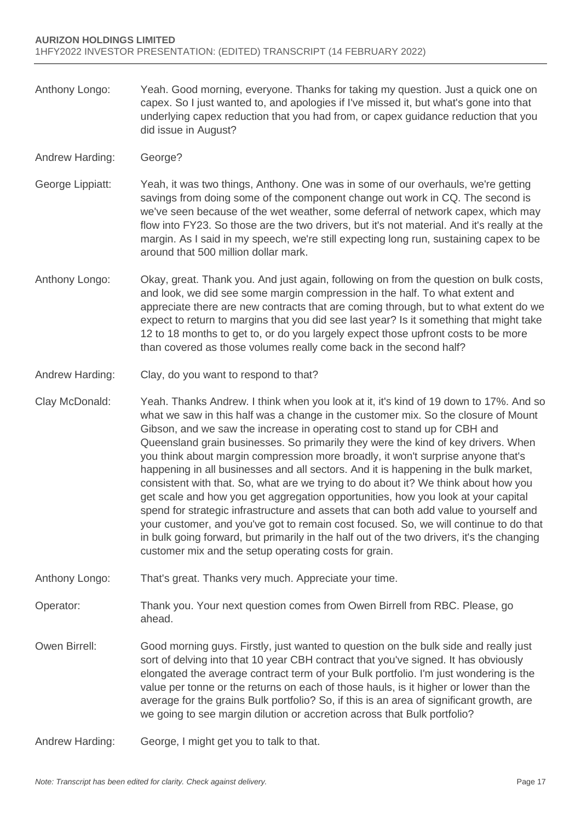- Anthony Longo: Yeah. Good morning, everyone. Thanks for taking my question. Just a quick one on capex. So I just wanted to, and apologies if I've missed it, but what's gone into that underlying capex reduction that you had from, or capex guidance reduction that you did issue in August?
- Andrew Harding: George?
- George Lippiatt: Yeah, it was two things, Anthony. One was in some of our overhauls, we're getting savings from doing some of the component change out work in CQ. The second is we've seen because of the wet weather, some deferral of network capex, which may flow into FY23. So those are the two drivers, but it's not material. And it's really at the margin. As I said in my speech, we're still expecting long run, sustaining capex to be around that 500 million dollar mark.
- Anthony Longo: Okay, great. Thank you. And just again, following on from the question on bulk costs, and look, we did see some margin compression in the half. To what extent and appreciate there are new contracts that are coming through, but to what extent do we expect to return to margins that you did see last year? Is it something that might take 12 to 18 months to get to, or do you largely expect those upfront costs to be more than covered as those volumes really come back in the second half?
- Andrew Harding: Clay, do you want to respond to that?
- Clay McDonald: Yeah. Thanks Andrew. I think when you look at it, it's kind of 19 down to 17%. And so what we saw in this half was a change in the customer mix. So the closure of Mount Gibson, and we saw the increase in operating cost to stand up for CBH and Queensland grain businesses. So primarily they were the kind of key drivers. When you think about margin compression more broadly, it won't surprise anyone that's happening in all businesses and all sectors. And it is happening in the bulk market, consistent with that. So, what are we trying to do about it? We think about how you get scale and how you get aggregation opportunities, how you look at your capital spend for strategic infrastructure and assets that can both add value to yourself and your customer, and you've got to remain cost focused. So, we will continue to do that in bulk going forward, but primarily in the half out of the two drivers, it's the changing customer mix and the setup operating costs for grain.
- Anthony Longo: That's great. Thanks very much. Appreciate your time.
- Operator: Thank you. Your next question comes from Owen Birrell from RBC. Please, go ahead.
- Owen Birrell: Good morning guys. Firstly, just wanted to question on the bulk side and really just sort of delving into that 10 year CBH contract that you've signed. It has obviously elongated the average contract term of your Bulk portfolio. I'm just wondering is the value per tonne or the returns on each of those hauls, is it higher or lower than the average for the grains Bulk portfolio? So, if this is an area of significant growth, are we going to see margin dilution or accretion across that Bulk portfolio?
- Andrew Harding: George, I might get you to talk to that.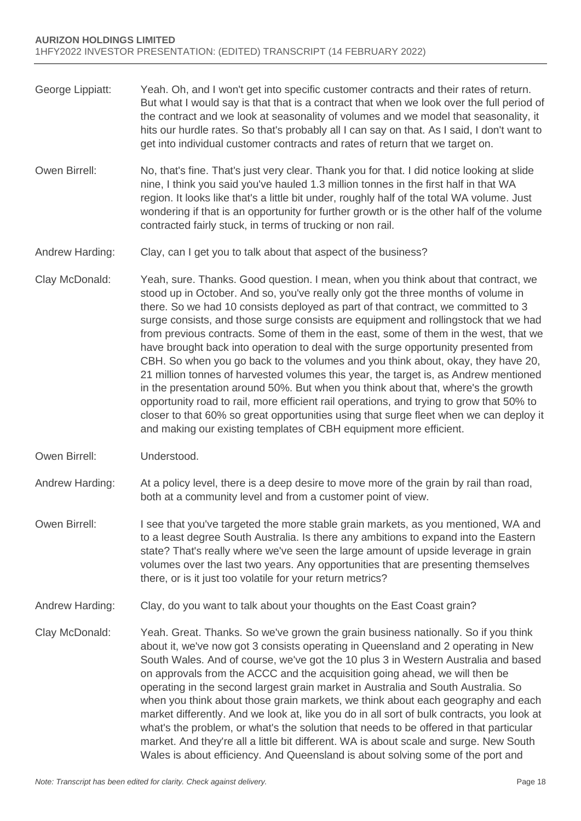- George Lippiatt: Yeah. Oh, and I won't get into specific customer contracts and their rates of return. But what I would say is that that is a contract that when we look over the full period of the contract and we look at seasonality of volumes and we model that seasonality, it hits our hurdle rates. So that's probably all I can say on that. As I said, I don't want to get into individual customer contracts and rates of return that we target on.
- Owen Birrell: No, that's fine. That's just very clear. Thank you for that. I did notice looking at slide nine, I think you said you've hauled 1.3 million tonnes in the first half in that WA region. It looks like that's a little bit under, roughly half of the total WA volume. Just wondering if that is an opportunity for further growth or is the other half of the volume contracted fairly stuck, in terms of trucking or non rail.
- Andrew Harding: Clay, can I get you to talk about that aspect of the business?
- Clay McDonald: Yeah, sure. Thanks. Good question. I mean, when you think about that contract, we stood up in October. And so, you've really only got the three months of volume in there. So we had 10 consists deployed as part of that contract, we committed to 3 surge consists, and those surge consists are equipment and rollingstock that we had from previous contracts. Some of them in the east, some of them in the west, that we have brought back into operation to deal with the surge opportunity presented from CBH. So when you go back to the volumes and you think about, okay, they have 20, 21 million tonnes of harvested volumes this year, the target is, as Andrew mentioned in the presentation around 50%. But when you think about that, where's the growth opportunity road to rail, more efficient rail operations, and trying to grow that 50% to closer to that 60% so great opportunities using that surge fleet when we can deploy it and making our existing templates of CBH equipment more efficient.
- Owen Birrell: Understood.

Andrew Harding: At a policy level, there is a deep desire to move more of the grain by rail than road, both at a community level and from a customer point of view.

- Owen Birrell: I see that you've targeted the more stable grain markets, as you mentioned, WA and to a least degree South Australia. Is there any ambitions to expand into the Eastern state? That's really where we've seen the large amount of upside leverage in grain volumes over the last two years. Any opportunities that are presenting themselves there, or is it just too volatile for your return metrics?
- Andrew Harding: Clay, do you want to talk about your thoughts on the East Coast grain?
- Clay McDonald: Yeah. Great. Thanks. So we've grown the grain business nationally. So if you think about it, we've now got 3 consists operating in Queensland and 2 operating in New South Wales. And of course, we've got the 10 plus 3 in Western Australia and based on approvals from the ACCC and the acquisition going ahead, we will then be operating in the second largest grain market in Australia and South Australia. So when you think about those grain markets, we think about each geography and each market differently. And we look at, like you do in all sort of bulk contracts, you look at what's the problem, or what's the solution that needs to be offered in that particular market. And they're all a little bit different. WA is about scale and surge. New South Wales is about efficiency. And Queensland is about solving some of the port and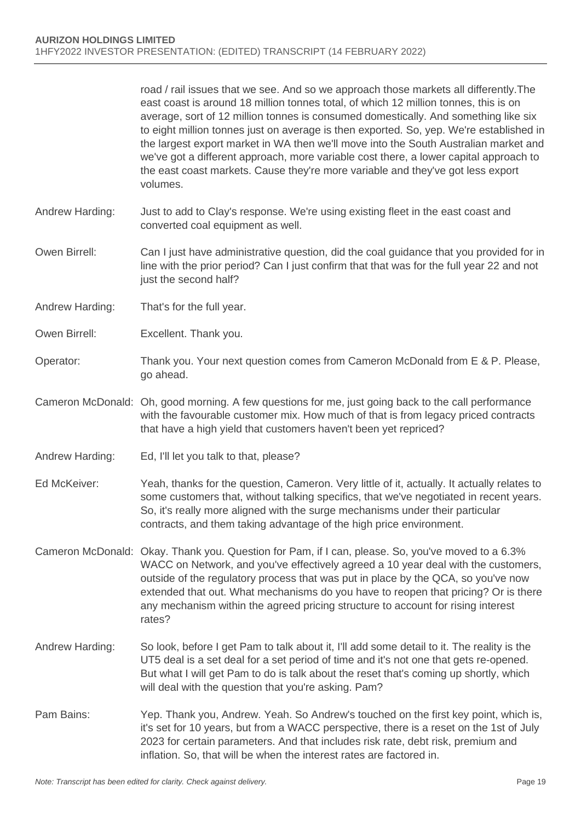road / rail issues that we see. And so we approach those markets all differently.The east coast is around 18 million tonnes total, of which 12 million tonnes, this is on average, sort of 12 million tonnes is consumed domestically. And something like six to eight million tonnes just on average is then exported. So, yep. We're established in the largest export market in WA then we'll move into the South Australian market and we've got a different approach, more variable cost there, a lower capital approach to the east coast markets. Cause they're more variable and they've got less export volumes.

- Andrew Harding: Just to add to Clay's response. We're using existing fleet in the east coast and converted coal equipment as well.
- Owen Birrell: Can I just have administrative question, did the coal guidance that you provided for in line with the prior period? Can I just confirm that that was for the full year 22 and not just the second half?
- Andrew Harding: That's for the full year.
- Owen Birrell: Excellent. Thank you.
- Operator: Thank you. Your next question comes from Cameron McDonald from E & P. Please, go ahead.
- Cameron McDonald: Oh, good morning. A few questions for me, just going back to the call performance with the favourable customer mix. How much of that is from legacy priced contracts that have a high yield that customers haven't been yet repriced?
- Andrew Harding: Ed, I'll let you talk to that, please?
- Ed McKeiver: Yeah, thanks for the question, Cameron. Very little of it, actually. It actually relates to some customers that, without talking specifics, that we've negotiated in recent years. So, it's really more aligned with the surge mechanisms under their particular contracts, and them taking advantage of the high price environment.
- Cameron McDonald: Okay. Thank you. Question for Pam, if I can, please. So, you've moved to a 6.3% WACC on Network, and you've effectively agreed a 10 year deal with the customers, outside of the regulatory process that was put in place by the QCA, so you've now extended that out. What mechanisms do you have to reopen that pricing? Or is there any mechanism within the agreed pricing structure to account for rising interest rates?
- Andrew Harding: So look, before I get Pam to talk about it, I'll add some detail to it. The reality is the UT5 deal is a set deal for a set period of time and it's not one that gets re-opened. But what I will get Pam to do is talk about the reset that's coming up shortly, which will deal with the question that you're asking. Pam?
- Pam Bains: Yep. Thank you, Andrew. Yeah. So Andrew's touched on the first key point, which is, it's set for 10 years, but from a WACC perspective, there is a reset on the 1st of July 2023 for certain parameters. And that includes risk rate, debt risk, premium and inflation. So, that will be when the interest rates are factored in.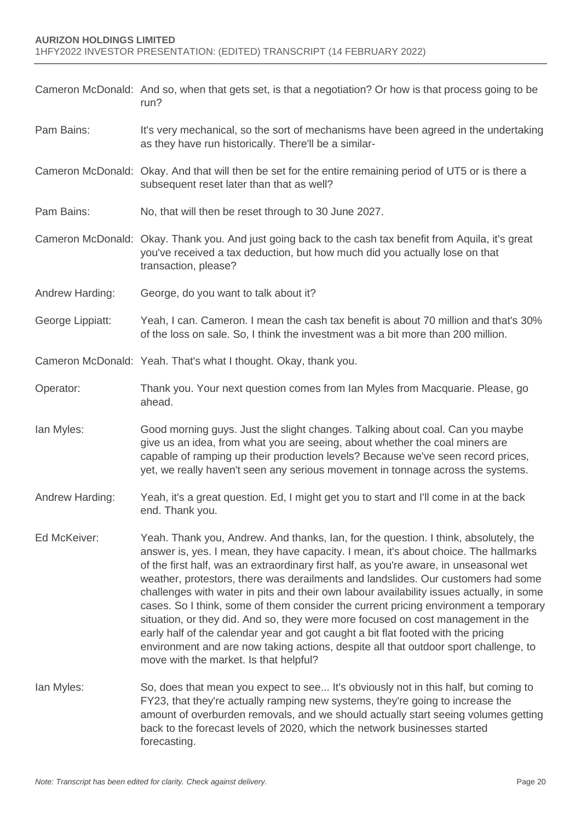|                  | Cameron McDonald: And so, when that gets set, is that a negotiation? Or how is that process going to be<br>run?                                                                                                                                                                                                                                                                                                                                                                                                                                                                                                                                                                                                                                                                                                                                            |
|------------------|------------------------------------------------------------------------------------------------------------------------------------------------------------------------------------------------------------------------------------------------------------------------------------------------------------------------------------------------------------------------------------------------------------------------------------------------------------------------------------------------------------------------------------------------------------------------------------------------------------------------------------------------------------------------------------------------------------------------------------------------------------------------------------------------------------------------------------------------------------|
| Pam Bains:       | It's very mechanical, so the sort of mechanisms have been agreed in the undertaking<br>as they have run historically. There'll be a similar-                                                                                                                                                                                                                                                                                                                                                                                                                                                                                                                                                                                                                                                                                                               |
|                  | Cameron McDonald: Okay. And that will then be set for the entire remaining period of UT5 or is there a<br>subsequent reset later than that as well?                                                                                                                                                                                                                                                                                                                                                                                                                                                                                                                                                                                                                                                                                                        |
| Pam Bains:       | No, that will then be reset through to 30 June 2027.                                                                                                                                                                                                                                                                                                                                                                                                                                                                                                                                                                                                                                                                                                                                                                                                       |
|                  | Cameron McDonald: Okay. Thank you. And just going back to the cash tax benefit from Aquila, it's great<br>you've received a tax deduction, but how much did you actually lose on that<br>transaction, please?                                                                                                                                                                                                                                                                                                                                                                                                                                                                                                                                                                                                                                              |
| Andrew Harding:  | George, do you want to talk about it?                                                                                                                                                                                                                                                                                                                                                                                                                                                                                                                                                                                                                                                                                                                                                                                                                      |
| George Lippiatt: | Yeah, I can. Cameron. I mean the cash tax benefit is about 70 million and that's 30%<br>of the loss on sale. So, I think the investment was a bit more than 200 million.                                                                                                                                                                                                                                                                                                                                                                                                                                                                                                                                                                                                                                                                                   |
|                  | Cameron McDonald: Yeah. That's what I thought. Okay, thank you.                                                                                                                                                                                                                                                                                                                                                                                                                                                                                                                                                                                                                                                                                                                                                                                            |
| Operator:        | Thank you. Your next question comes from Ian Myles from Macquarie. Please, go<br>ahead.                                                                                                                                                                                                                                                                                                                                                                                                                                                                                                                                                                                                                                                                                                                                                                    |
| lan Myles:       | Good morning guys. Just the slight changes. Talking about coal. Can you maybe<br>give us an idea, from what you are seeing, about whether the coal miners are<br>capable of ramping up their production levels? Because we've seen record prices,<br>yet, we really haven't seen any serious movement in tonnage across the systems.                                                                                                                                                                                                                                                                                                                                                                                                                                                                                                                       |
| Andrew Harding:  | Yeah, it's a great question. Ed, I might get you to start and I'll come in at the back<br>end. Thank you.                                                                                                                                                                                                                                                                                                                                                                                                                                                                                                                                                                                                                                                                                                                                                  |
| Ed McKeiver:     | Yeah. Thank you, Andrew. And thanks, Ian, for the question. I think, absolutely, the<br>answer is, yes. I mean, they have capacity. I mean, it's about choice. The hallmarks<br>of the first half, was an extraordinary first half, as you're aware, in unseasonal wet<br>weather, protestors, there was derailments and landslides. Our customers had some<br>challenges with water in pits and their own labour availability issues actually, in some<br>cases. So I think, some of them consider the current pricing environment a temporary<br>situation, or they did. And so, they were more focused on cost management in the<br>early half of the calendar year and got caught a bit flat footed with the pricing<br>environment and are now taking actions, despite all that outdoor sport challenge, to<br>move with the market. Is that helpful? |
| lan Myles:       | So, does that mean you expect to see It's obviously not in this half, but coming to<br>FY23, that they're actually ramping new systems, they're going to increase the<br>amount of overburden removals, and we should actually start seeing volumes getting<br>back to the forecast levels of 2020, which the network businesses started<br>forecasting.                                                                                                                                                                                                                                                                                                                                                                                                                                                                                                   |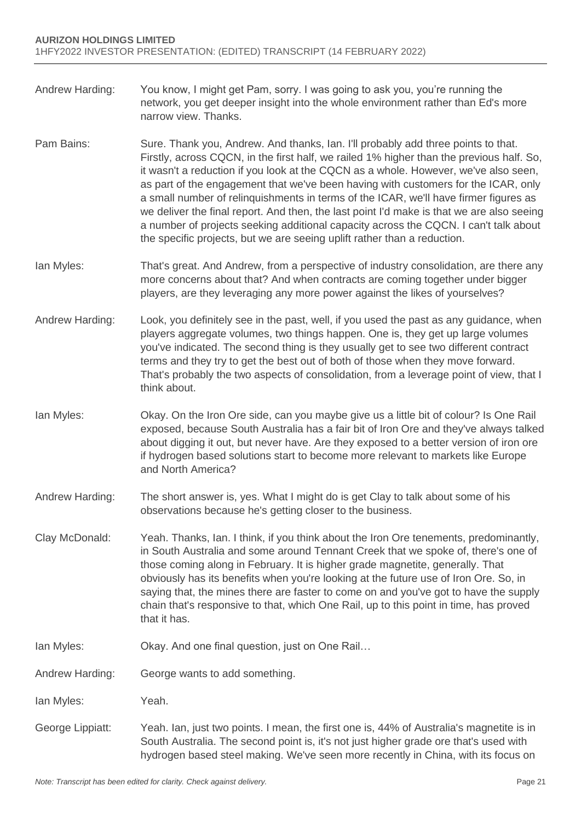- Andrew Harding: You know, I might get Pam, sorry. I was going to ask you, you're running the network, you get deeper insight into the whole environment rather than Ed's more narrow view. Thanks.
- Pam Bains: Sure. Thank you, Andrew. And thanks, Ian. I'll probably add three points to that. Firstly, across CQCN, in the first half, we railed 1% higher than the previous half. So, it wasn't a reduction if you look at the CQCN as a whole. However, we've also seen, as part of the engagement that we've been having with customers for the ICAR, only a small number of relinquishments in terms of the ICAR, we'll have firmer figures as we deliver the final report. And then, the last point I'd make is that we are also seeing a number of projects seeking additional capacity across the CQCN. I can't talk about the specific projects, but we are seeing uplift rather than a reduction.
- Ian Myles: That's great. And Andrew, from a perspective of industry consolidation, are there any more concerns about that? And when contracts are coming together under bigger players, are they leveraging any more power against the likes of yourselves?
- Andrew Harding: Look, you definitely see in the past, well, if you used the past as any guidance, when players aggregate volumes, two things happen. One is, they get up large volumes you've indicated. The second thing is they usually get to see two different contract terms and they try to get the best out of both of those when they move forward. That's probably the two aspects of consolidation, from a leverage point of view, that I think about.
- Ian Myles: Okay. On the Iron Ore side, can you maybe give us a little bit of colour? Is One Rail exposed, because South Australia has a fair bit of Iron Ore and they've always talked about digging it out, but never have. Are they exposed to a better version of iron ore if hydrogen based solutions start to become more relevant to markets like Europe and North America?
- Andrew Harding: The short answer is, yes. What I might do is get Clay to talk about some of his observations because he's getting closer to the business.
- Clay McDonald: Yeah. Thanks, Ian. I think, if you think about the Iron Ore tenements, predominantly, in South Australia and some around Tennant Creek that we spoke of, there's one of those coming along in February. It is higher grade magnetite, generally. That obviously has its benefits when you're looking at the future use of Iron Ore. So, in saying that, the mines there are faster to come on and you've got to have the supply chain that's responsive to that, which One Rail, up to this point in time, has proved that it has.
- Ian Myles: Okay. And one final question, just on One Rail…
- Andrew Harding: George wants to add something.
- Ian Myles: Yeah.
- George Lippiatt: Yeah. Ian, just two points. I mean, the first one is, 44% of Australia's magnetite is in South Australia. The second point is, it's not just higher grade ore that's used with hydrogen based steel making. We've seen more recently in China, with its focus on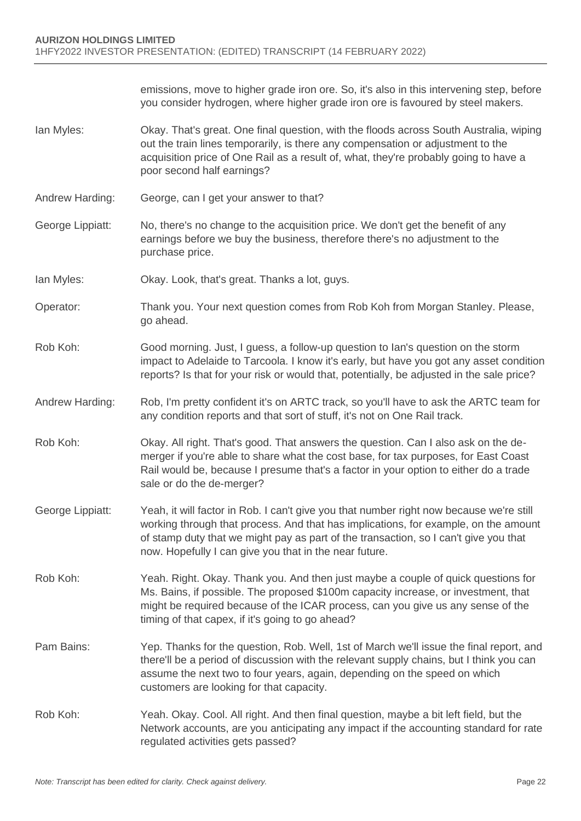emissions, move to higher grade iron ore. So, it's also in this intervening step, before you consider hydrogen, where higher grade iron ore is favoured by steel makers.

- Ian Myles: Okay. That's great. One final question, with the floods across South Australia, wiping out the train lines temporarily, is there any compensation or adjustment to the acquisition price of One Rail as a result of, what, they're probably going to have a poor second half earnings?
- Andrew Harding: George, can I get your answer to that?
- George Lippiatt: No, there's no change to the acquisition price. We don't get the benefit of any earnings before we buy the business, therefore there's no adjustment to the purchase price.
- Ian Myles: Okay. Look, that's great. Thanks a lot, guys.
- Operator: Thank you. Your next question comes from Rob Koh from Morgan Stanley. Please, go ahead.
- Rob Koh: Good morning. Just, I guess, a follow-up question to Ian's question on the storm impact to Adelaide to Tarcoola. I know it's early, but have you got any asset condition reports? Is that for your risk or would that, potentially, be adjusted in the sale price?
- Andrew Harding: Rob, I'm pretty confident it's on ARTC track, so you'll have to ask the ARTC team for any condition reports and that sort of stuff, it's not on One Rail track.
- Rob Koh: Okay. All right. That's good. That answers the question. Can I also ask on the demerger if you're able to share what the cost base, for tax purposes, for East Coast Rail would be, because I presume that's a factor in your option to either do a trade sale or do the de-merger?
- George Lippiatt: Yeah, it will factor in Rob. I can't give you that number right now because we're still working through that process. And that has implications, for example, on the amount of stamp duty that we might pay as part of the transaction, so I can't give you that now. Hopefully I can give you that in the near future.
- Rob Koh: Yeah. Right. Okay. Thank you. And then just maybe a couple of quick questions for Ms. Bains, if possible. The proposed \$100m capacity increase, or investment, that might be required because of the ICAR process, can you give us any sense of the timing of that capex, if it's going to go ahead?
- Pam Bains: Yep. Thanks for the question, Rob. Well, 1st of March we'll issue the final report, and there'll be a period of discussion with the relevant supply chains, but I think you can assume the next two to four years, again, depending on the speed on which customers are looking for that capacity.
- Rob Koh: Yeah. Okay. Cool. All right. And then final question, maybe a bit left field, but the Network accounts, are you anticipating any impact if the accounting standard for rate regulated activities gets passed?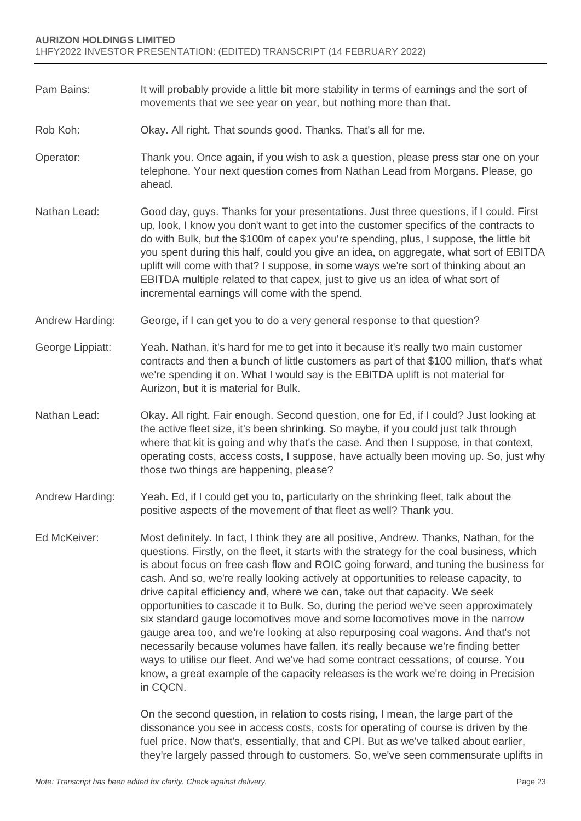- Pam Bains: It will probably provide a little bit more stability in terms of earnings and the sort of movements that we see year on year, but nothing more than that.
- Rob Koh: Okay. All right. That sounds good. Thanks. That's all for me.
- Operator: Thank you. Once again, if you wish to ask a question, please press star one on your telephone. Your next question comes from Nathan Lead from Morgans. Please, go ahead.
- Nathan Lead: Good day, guys. Thanks for your presentations. Just three questions, if I could. First up, look, I know you don't want to get into the customer specifics of the contracts to do with Bulk, but the \$100m of capex you're spending, plus, I suppose, the little bit you spent during this half, could you give an idea, on aggregate, what sort of EBITDA uplift will come with that? I suppose, in some ways we're sort of thinking about an EBITDA multiple related to that capex, just to give us an idea of what sort of incremental earnings will come with the spend.
- Andrew Harding: George, if I can get you to do a very general response to that question?
- George Lippiatt: Yeah. Nathan, it's hard for me to get into it because it's really two main customer contracts and then a bunch of little customers as part of that \$100 million, that's what we're spending it on. What I would say is the EBITDA uplift is not material for Aurizon, but it is material for Bulk.
- Nathan Lead: Okay. All right. Fair enough. Second question, one for Ed, if I could? Just looking at the active fleet size, it's been shrinking. So maybe, if you could just talk through where that kit is going and why that's the case. And then I suppose, in that context, operating costs, access costs, I suppose, have actually been moving up. So, just why those two things are happening, please?
- Andrew Harding: Yeah. Ed, if I could get you to, particularly on the shrinking fleet, talk about the positive aspects of the movement of that fleet as well? Thank you.
- Ed McKeiver: Most definitely. In fact, I think they are all positive, Andrew. Thanks, Nathan, for the questions. Firstly, on the fleet, it starts with the strategy for the coal business, which is about focus on free cash flow and ROIC going forward, and tuning the business for cash. And so, we're really looking actively at opportunities to release capacity, to drive capital efficiency and, where we can, take out that capacity. We seek opportunities to cascade it to Bulk. So, during the period we've seen approximately six standard gauge locomotives move and some locomotives move in the narrow gauge area too, and we're looking at also repurposing coal wagons. And that's not necessarily because volumes have fallen, it's really because we're finding better ways to utilise our fleet. And we've had some contract cessations, of course. You know, a great example of the capacity releases is the work we're doing in Precision in CQCN.

On the second question, in relation to costs rising, I mean, the large part of the dissonance you see in access costs, costs for operating of course is driven by the fuel price. Now that's, essentially, that and CPI. But as we've talked about earlier, they're largely passed through to customers. So, we've seen commensurate uplifts in